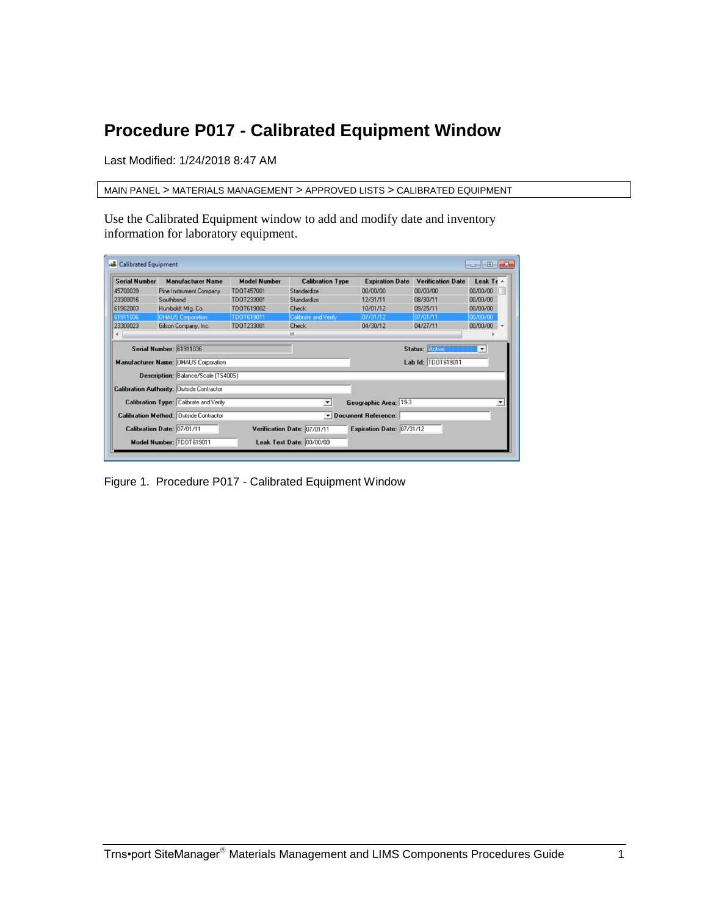## <span id="page-0-0"></span>**Procedure P017 - Calibrated Equipment Window**

Last Modified: 1/24/2018 8:47 AM

MAIN PANEL > MATERIALS MANAGEMENT > APPROVED LISTS > CALIBRATED EQUIPMENT

Use the Calibrated Equipment window to add and modify date and inventory information for laboratory equipment.

| <b>Serial Number</b> | <b>Manufacturer Name</b>                         | <b>Model Number</b> | <b>Calibration Type</b>     | <b>Expiration Date</b>                    | <b>Verification Date</b> | Leak Te $\sim$ |
|----------------------|--------------------------------------------------|---------------------|-----------------------------|-------------------------------------------|--------------------------|----------------|
| 45700039             | Pine Instrument Company                          | TD0T457001          | Standardize                 | 00/00/00                                  | 00/00/00                 | 00/00/00       |
| 23300016             | Southbend                                        | TD0T233001          | Standardize                 | 12/31/11                                  | 08/30/11                 | 00/00/00       |
| 61902003             | Humboldt Mfg, Co.                                | TDOT619002          | Check                       | 10/01/12                                  | 09/25/11                 | 00/00/00       |
| 61911036             | <b>OHAUS Corporation</b>                         | TD0T619011          | Calibrate and Verify        | 07/31/12                                  | 07/01/11                 | 00/00/00       |
| 23300023             | Gilson Company, Inc.                             | TD0T233001          | <b>Check</b>                | 04/30/12                                  | 04/27/11                 | 00/00/00       |
| ◀                    |                                                  |                     | m                           |                                           |                          |                |
|                      | <b>Serial Number: 61911036</b>                   |                     |                             |                                           | <b>Status: Active</b>    | $\mathbf{v}$   |
|                      | Manufacturer Name: OHAUS Corporation             |                     |                             |                                           | Lab Id: TD0T619011       |                |
|                      | Description: Balance/Scale (TS400S)              |                     |                             |                                           |                          |                |
|                      | <b>Calibration Authority: Outside Contractor</b> |                     |                             |                                           |                          |                |
|                      | Calibration Type: Calibrate and Verify           |                     | $\overline{\phantom{a}}$    | Geographic Area: 19-3                     |                          |                |
|                      | <b>Calibration Method: Outside Contractor</b>    |                     |                             | $\blacktriangleright$ Document Reference: |                          |                |
|                      | Calibration Date: 07/01/11                       |                     | Verification Date: 07/01/11 | Expiration Date: 07/31/12                 |                          |                |
|                      |                                                  |                     |                             |                                           |                          |                |

Figure 1. Procedure P017 - [Calibrated Equipment](#page-0-0) Window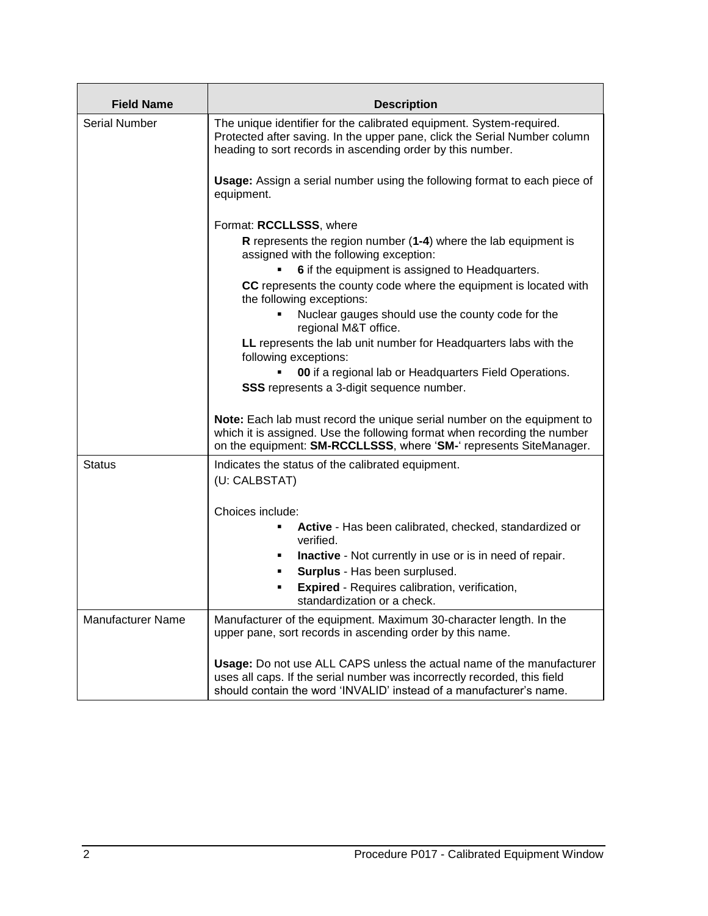| <b>Field Name</b>        | <b>Description</b>                                                                                                                                                                                                        |
|--------------------------|---------------------------------------------------------------------------------------------------------------------------------------------------------------------------------------------------------------------------|
| <b>Serial Number</b>     | The unique identifier for the calibrated equipment. System-required.<br>Protected after saving. In the upper pane, click the Serial Number column<br>heading to sort records in ascending order by this number.           |
|                          | Usage: Assign a serial number using the following format to each piece of<br>equipment.                                                                                                                                   |
|                          | Format: RCCLLSSS, where                                                                                                                                                                                                   |
|                          | R represents the region number (1-4) where the lab equipment is<br>assigned with the following exception:                                                                                                                 |
|                          | 6 if the equipment is assigned to Headquarters.                                                                                                                                                                           |
|                          | CC represents the county code where the equipment is located with<br>the following exceptions:                                                                                                                            |
|                          | Nuclear gauges should use the county code for the<br>regional M&T office.                                                                                                                                                 |
|                          | LL represents the lab unit number for Headquarters labs with the<br>following exceptions:                                                                                                                                 |
|                          | 00 if a regional lab or Headquarters Field Operations.                                                                                                                                                                    |
|                          | <b>SSS</b> represents a 3-digit sequence number.                                                                                                                                                                          |
|                          | Note: Each lab must record the unique serial number on the equipment to<br>which it is assigned. Use the following format when recording the number<br>on the equipment: SM-RCCLLSSS, where 'SM-' represents SiteManager. |
| <b>Status</b>            | Indicates the status of the calibrated equipment.<br>(U: CALBSTAT)                                                                                                                                                        |
|                          |                                                                                                                                                                                                                           |
|                          | Choices include:                                                                                                                                                                                                          |
|                          | Active - Has been calibrated, checked, standardized or<br>verified.                                                                                                                                                       |
|                          | <b>Inactive</b> - Not currently in use or is in need of repair.<br>٠                                                                                                                                                      |
|                          | Surplus - Has been surplused.<br>٠                                                                                                                                                                                        |
|                          | <b>Expired</b> - Requires calibration, verification,<br>٠<br>standardization or a check.                                                                                                                                  |
| <b>Manufacturer Name</b> | Manufacturer of the equipment. Maximum 30-character length. In the<br>upper pane, sort records in ascending order by this name.                                                                                           |
|                          | Usage: Do not use ALL CAPS unless the actual name of the manufacturer<br>uses all caps. If the serial number was incorrectly recorded, this field<br>should contain the word 'INVALID' instead of a manufacturer's name.  |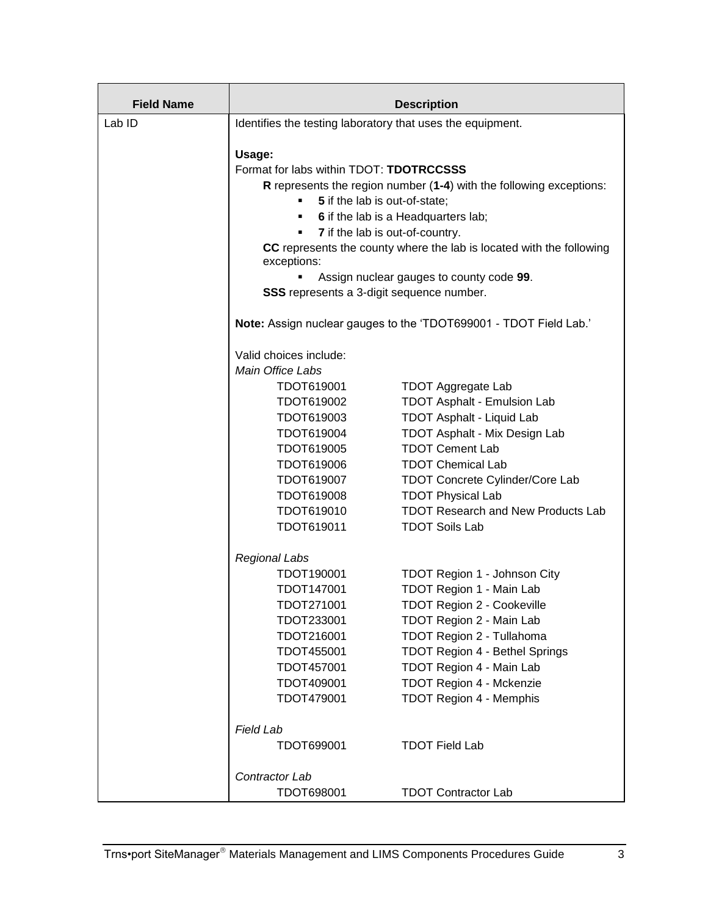| <b>Field Name</b> |                                                                                     | <b>Description</b>                        |
|-------------------|-------------------------------------------------------------------------------------|-------------------------------------------|
| Lab ID            | Identifies the testing laboratory that uses the equipment.                          |                                           |
|                   |                                                                                     |                                           |
|                   | Usage:                                                                              |                                           |
|                   | Format for labs within TDOT: TDOTRCCSSS                                             |                                           |
|                   | R represents the region number (1-4) with the following exceptions:                 |                                           |
|                   | 5 if the lab is out-of-state;                                                       |                                           |
|                   | 6 if the lab is a Headquarters lab;                                                 |                                           |
|                   | 7 if the lab is out-of-country.                                                     |                                           |
|                   | CC represents the county where the lab is located with the following<br>exceptions: |                                           |
|                   | Assign nuclear gauges to county code 99.                                            |                                           |
|                   | SSS represents a 3-digit sequence number.                                           |                                           |
|                   | Note: Assign nuclear gauges to the 'TDOT699001 - TDOT Field Lab.'                   |                                           |
|                   | Valid choices include:                                                              |                                           |
|                   | Main Office Labs                                                                    |                                           |
|                   | TDOT619001                                                                          | <b>TDOT Aggregate Lab</b>                 |
|                   | TDOT619002                                                                          | <b>TDOT Asphalt - Emulsion Lab</b>        |
|                   | TDOT619003                                                                          | <b>TDOT Asphalt - Liquid Lab</b>          |
|                   | TDOT619004                                                                          | <b>TDOT Asphalt - Mix Design Lab</b>      |
|                   | TDOT619005                                                                          | <b>TDOT Cement Lab</b>                    |
|                   | TDOT619006                                                                          | <b>TDOT Chemical Lab</b>                  |
|                   | TDOT619007                                                                          | <b>TDOT Concrete Cylinder/Core Lab</b>    |
|                   | TDOT619008                                                                          | <b>TDOT Physical Lab</b>                  |
|                   | TDOT619010                                                                          | <b>TDOT Research and New Products Lab</b> |
|                   | TDOT619011                                                                          | <b>TDOT Soils Lab</b>                     |
|                   | <b>Regional Labs</b>                                                                |                                           |
|                   | TDOT190001                                                                          | TDOT Region 1 - Johnson City              |
|                   | TDOT147001                                                                          | TDOT Region 1 - Main Lab                  |
|                   | TDOT271001                                                                          | TDOT Region 2 - Cookeville                |
|                   | TDOT233001                                                                          | TDOT Region 2 - Main Lab                  |
|                   | TDOT216001                                                                          | TDOT Region 2 - Tullahoma                 |
|                   | TDOT455001                                                                          | <b>TDOT Region 4 - Bethel Springs</b>     |
|                   | TDOT457001                                                                          | TDOT Region 4 - Main Lab                  |
|                   | TDOT409001                                                                          | TDOT Region 4 - Mckenzie                  |
|                   | TDOT479001                                                                          | <b>TDOT Region 4 - Memphis</b>            |
|                   | <b>Field Lab</b>                                                                    |                                           |
|                   | TDOT699001                                                                          | <b>TDOT Field Lab</b>                     |
|                   | Contractor Lab                                                                      |                                           |
|                   | TDOT698001                                                                          | <b>TDOT Contractor Lab</b>                |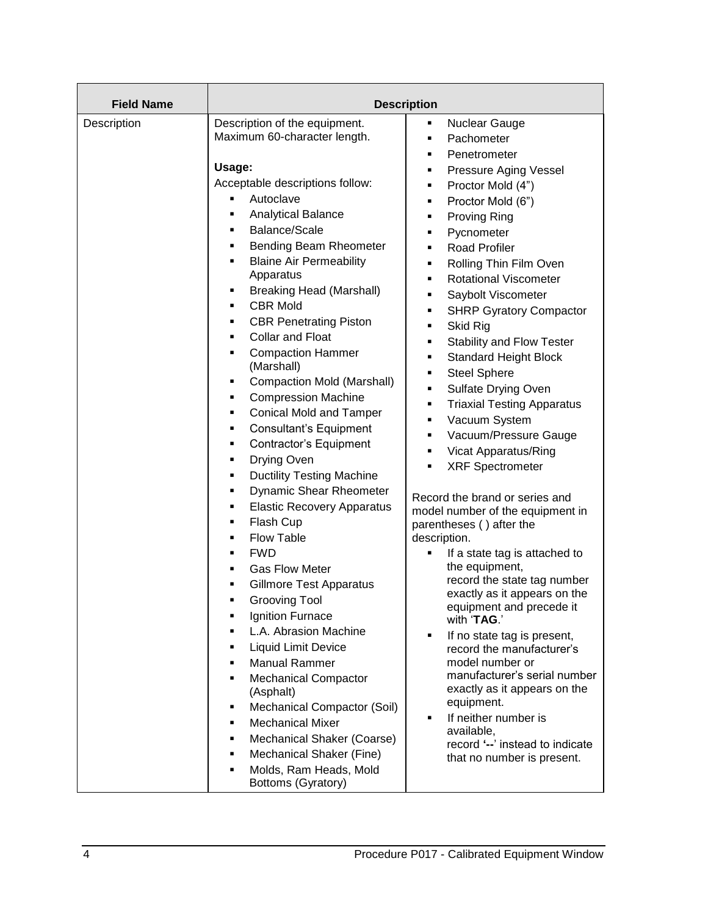| <b>Field Name</b> |                                                                                                                                                                                                                                                                                                                                                                                                                                                                                                                                                                                                                                                                                                                                                                                                                                                                                                                                                                                                                                                                                                                                                                                                                                                                                                                     | <b>Description</b>                                                                                                                                                                                                                                                                                                                                                                                                                                                                                                                                                                                                                                                                                                                                                                                                                                                                                                                                                                                                                                                                                                                                                                                                                          |
|-------------------|---------------------------------------------------------------------------------------------------------------------------------------------------------------------------------------------------------------------------------------------------------------------------------------------------------------------------------------------------------------------------------------------------------------------------------------------------------------------------------------------------------------------------------------------------------------------------------------------------------------------------------------------------------------------------------------------------------------------------------------------------------------------------------------------------------------------------------------------------------------------------------------------------------------------------------------------------------------------------------------------------------------------------------------------------------------------------------------------------------------------------------------------------------------------------------------------------------------------------------------------------------------------------------------------------------------------|---------------------------------------------------------------------------------------------------------------------------------------------------------------------------------------------------------------------------------------------------------------------------------------------------------------------------------------------------------------------------------------------------------------------------------------------------------------------------------------------------------------------------------------------------------------------------------------------------------------------------------------------------------------------------------------------------------------------------------------------------------------------------------------------------------------------------------------------------------------------------------------------------------------------------------------------------------------------------------------------------------------------------------------------------------------------------------------------------------------------------------------------------------------------------------------------------------------------------------------------|
| Description       | Description of the equipment.<br>Maximum 60-character length.<br>Usage:<br>Acceptable descriptions follow:<br>Autoclave<br>٠<br><b>Analytical Balance</b><br>٠<br>Balance/Scale<br>٠<br>Bending Beam Rheometer<br>٠<br><b>Blaine Air Permeability</b><br>٠<br>Apparatus<br><b>Breaking Head (Marshall)</b><br>٠<br><b>CBR Mold</b><br>٠<br><b>CBR Penetrating Piston</b><br>٠<br><b>Collar and Float</b><br>٠<br><b>Compaction Hammer</b><br>٠<br>(Marshall)<br><b>Compaction Mold (Marshall)</b><br>٠<br><b>Compression Machine</b><br>٠<br><b>Conical Mold and Tamper</b><br>٠<br><b>Consultant's Equipment</b><br>٠<br><b>Contractor's Equipment</b><br>٠<br>Drying Oven<br>٠<br><b>Ductility Testing Machine</b><br>٠<br>Dynamic Shear Rheometer<br>٠<br><b>Elastic Recovery Apparatus</b><br>٠<br>Flash Cup<br>٠<br><b>Flow Table</b><br>٠<br><b>FWD</b><br>٠<br><b>Gas Flow Meter</b><br>п<br><b>Gillmore Test Apparatus</b><br>٠<br><b>Grooving Tool</b><br>٠<br>Ignition Furnace<br>٠<br>L.A. Abrasion Machine<br>٠<br><b>Liquid Limit Device</b><br>٠<br><b>Manual Rammer</b><br>п<br><b>Mechanical Compactor</b><br>٠<br>(Asphalt)<br>Mechanical Compactor (Soil)<br>٠<br><b>Mechanical Mixer</b><br>٠<br>Mechanical Shaker (Coarse)<br>٠<br>Mechanical Shaker (Fine)<br>٠<br>Molds, Ram Heads, Mold<br>٠ | Nuclear Gauge<br>٠<br>Pachometer<br>٠<br>Penetrometer<br>٠<br>Pressure Aging Vessel<br>٠<br>Proctor Mold (4")<br>٠<br>Proctor Mold (6")<br>٠<br><b>Proving Ring</b><br>٠<br>Pycnometer<br>٠<br><b>Road Profiler</b><br>٠<br>Rolling Thin Film Oven<br>٠<br><b>Rotational Viscometer</b><br>٠<br>Saybolt Viscometer<br>٠<br><b>SHRP Gyratory Compactor</b><br>٠<br>Skid Rig<br>٠<br>Stability and Flow Tester<br>٠<br><b>Standard Height Block</b><br>٠<br><b>Steel Sphere</b><br>٠<br>Sulfate Drying Oven<br>٠<br><b>Triaxial Testing Apparatus</b><br>٠<br>Vacuum System<br>٠<br>Vacuum/Pressure Gauge<br>٠<br>Vicat Apparatus/Ring<br>٠<br><b>XRF Spectrometer</b><br>٠<br>Record the brand or series and<br>model number of the equipment in<br>parentheses () after the<br>description.<br>If a state tag is attached to<br>٠<br>the equipment,<br>record the state tag number<br>exactly as it appears on the<br>equipment and precede it<br>with 'TAG.'<br>If no state tag is present,<br>٠<br>record the manufacturer's<br>model number or<br>manufacturer's serial number<br>exactly as it appears on the<br>equipment.<br>If neither number is<br>٠<br>available,<br>record '--' instead to indicate<br>that no number is present. |
|                   | Bottoms (Gyratory)                                                                                                                                                                                                                                                                                                                                                                                                                                                                                                                                                                                                                                                                                                                                                                                                                                                                                                                                                                                                                                                                                                                                                                                                                                                                                                  |                                                                                                                                                                                                                                                                                                                                                                                                                                                                                                                                                                                                                                                                                                                                                                                                                                                                                                                                                                                                                                                                                                                                                                                                                                             |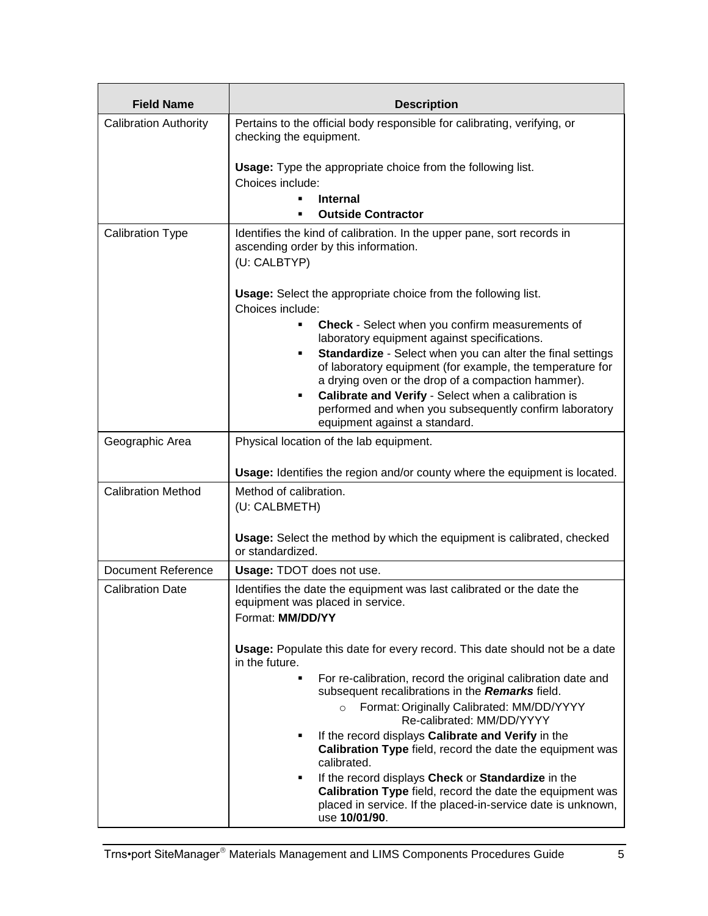| <b>Field Name</b>            | <b>Description</b>                                                                                                                                                                               |  |
|------------------------------|--------------------------------------------------------------------------------------------------------------------------------------------------------------------------------------------------|--|
| <b>Calibration Authority</b> | Pertains to the official body responsible for calibrating, verifying, or<br>checking the equipment.                                                                                              |  |
|                              | <b>Usage:</b> Type the appropriate choice from the following list.<br>Choices include:                                                                                                           |  |
|                              | <b>Internal</b>                                                                                                                                                                                  |  |
|                              | <b>Outside Contractor</b>                                                                                                                                                                        |  |
| <b>Calibration Type</b>      | Identifies the kind of calibration. In the upper pane, sort records in<br>ascending order by this information.<br>(U: CALBTYP)                                                                   |  |
|                              | <b>Usage:</b> Select the appropriate choice from the following list.<br>Choices include:                                                                                                         |  |
|                              | Check - Select when you confirm measurements of<br>laboratory equipment against specifications.                                                                                                  |  |
|                              | Standardize - Select when you can alter the final settings<br>٠<br>of laboratory equipment (for example, the temperature for<br>a drying oven or the drop of a compaction hammer).               |  |
|                              | Calibrate and Verify - Select when a calibration is<br>٠<br>performed and when you subsequently confirm laboratory<br>equipment against a standard.                                              |  |
| Geographic Area              | Physical location of the lab equipment.                                                                                                                                                          |  |
|                              | <b>Usage:</b> Identifies the region and/or county where the equipment is located.                                                                                                                |  |
| <b>Calibration Method</b>    | Method of calibration.<br>(U: CALBMETH)                                                                                                                                                          |  |
|                              | <b>Usage:</b> Select the method by which the equipment is calibrated, checked<br>or standardized.                                                                                                |  |
| Document Reference           | <b>Usage: TDOT does not use.</b>                                                                                                                                                                 |  |
| <b>Calibration Date</b>      | Identifies the date the equipment was last calibrated or the date the<br>equipment was placed in service.<br>Format: MM/DD/YY                                                                    |  |
|                              | Usage: Populate this date for every record. This date should not be a date<br>in the future.                                                                                                     |  |
|                              | For re-calibration, record the original calibration date and<br>subsequent recalibrations in the Remarks field.                                                                                  |  |
|                              | Format: Originally Calibrated: MM/DD/YYYY<br>$\circ$<br>Re-calibrated: MM/DD/YYYY                                                                                                                |  |
|                              | If the record displays Calibrate and Verify in the<br>Calibration Type field, record the date the equipment was<br>calibrated.                                                                   |  |
|                              | If the record displays Check or Standardize in the<br>Calibration Type field, record the date the equipment was<br>placed in service. If the placed-in-service date is unknown,<br>use 10/01/90. |  |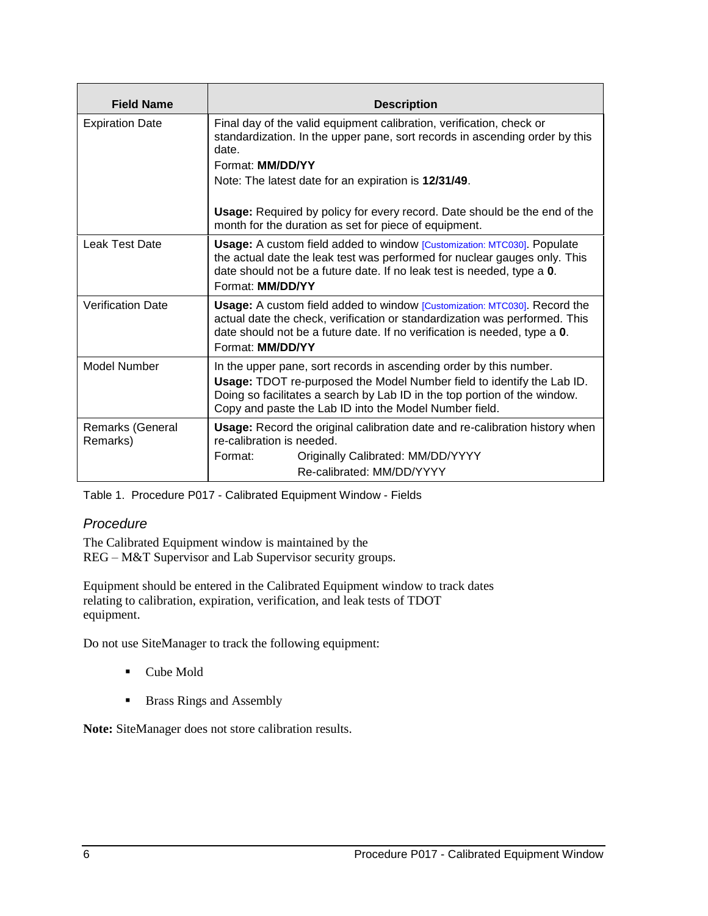| <b>Field Name</b>            | <b>Description</b>                                                                                                                                                                                                                                                                  |  |
|------------------------------|-------------------------------------------------------------------------------------------------------------------------------------------------------------------------------------------------------------------------------------------------------------------------------------|--|
| <b>Expiration Date</b>       | Final day of the valid equipment calibration, verification, check or<br>standardization. In the upper pane, sort records in ascending order by this<br>date.<br>Format: MM/DD/YY                                                                                                    |  |
|                              | Note: The latest date for an expiration is 12/31/49.                                                                                                                                                                                                                                |  |
|                              | <b>Usage:</b> Required by policy for every record. Date should be the end of the<br>month for the duration as set for piece of equipment.                                                                                                                                           |  |
| Leak Test Date               | Usage: A custom field added to window [Customization: MTC030]. Populate<br>the actual date the leak test was performed for nuclear gauges only. This<br>date should not be a future date. If no leak test is needed, type a 0.<br>Format: MM/DD/YY                                  |  |
| <b>Verification Date</b>     | Usage: A custom field added to window [Customization: MTC030]. Record the<br>actual date the check, verification or standardization was performed. This<br>date should not be a future date. If no verification is needed, type a 0.<br>Format: MM/DD/YY                            |  |
| Model Number                 | In the upper pane, sort records in ascending order by this number.<br>Usage: TDOT re-purposed the Model Number field to identify the Lab ID.<br>Doing so facilitates a search by Lab ID in the top portion of the window.<br>Copy and paste the Lab ID into the Model Number field. |  |
| Remarks (General<br>Remarks) | Usage: Record the original calibration date and re-calibration history when<br>re-calibration is needed.<br>Originally Calibrated: MM/DD/YYYY<br>Format:<br>Re-calibrated: MM/DD/YYYY                                                                                               |  |

Table 1. Procedure P017 - [Calibrated Equipment](#page-0-0) Window - Fields

## *Procedure*

The Calibrated Equipment window is maintained by the REG – M&T Supervisor and Lab Supervisor security groups.

Equipment should be entered in the Calibrated Equipment window to track dates relating to calibration, expiration, verification, and leak tests of TDOT equipment.

Do not use SiteManager to track the following equipment:

- Cube Mold
- Brass Rings and Assembly

**Note:** SiteManager does not store calibration results.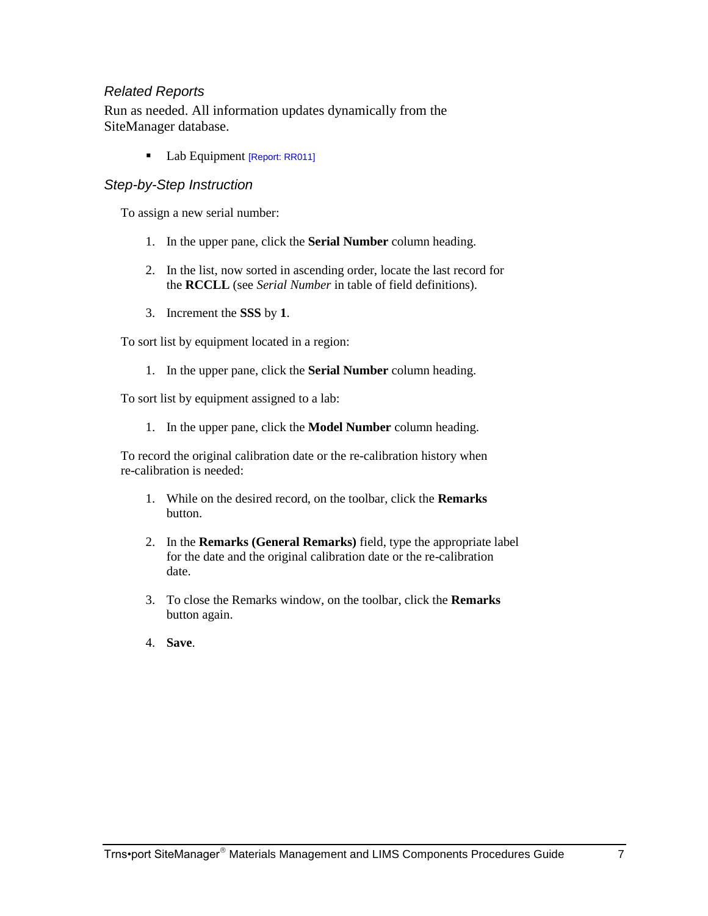## *Related Reports*

Run as needed. All information updates dynamically from the SiteManager database.

Lab Equipment [Report: RR011]

## *Step-by-Step Instruction*

To assign a new serial number:

- 1. In the upper pane, click the **Serial Number** column heading.
- 2. In the list, now sorted in ascending order, locate the last record for the **RCCLL** (see *Serial Number* in table of field definitions).
- 3. Increment the **SSS** by **1**.

To sort list by equipment located in a region:

1. In the upper pane, click the **Serial Number** column heading.

To sort list by equipment assigned to a lab:

1. In the upper pane, click the **Model Number** column heading.

To record the original calibration date or the re-calibration history when re-calibration is needed:

- 1. While on the desired record, on the toolbar, click the **Remarks** button.
- 2. In the **Remarks (General Remarks)** field, type the appropriate label for the date and the original calibration date or the re-calibration date.
- 3. To close the Remarks window, on the toolbar, click the **Remarks** button again.
- 4. **Save**.